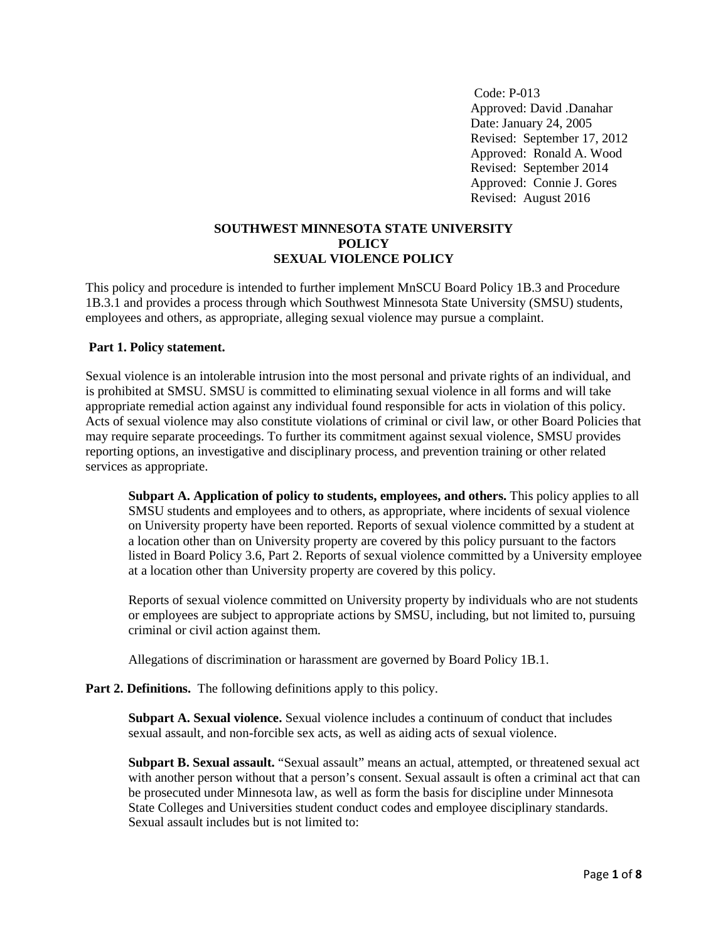Code: P-013 Approved: David .Danahar Date: January 24, 2005 Revised: September 17, 2012 Approved: Ronald A. Wood Revised: September 2014 Approved: Connie J. Gores Revised: August 2016

#### **SOUTHWEST MINNESOTA STATE UNIVERSITY POLICY SEXUAL VIOLENCE POLICY**

This policy and procedure is intended to further implement MnSCU Board Policy 1B.3 and Procedure 1B.3.1 and provides a process through which Southwest Minnesota State University (SMSU) students, employees and others, as appropriate, alleging sexual violence may pursue a complaint.

#### **Part 1. Policy statement.**

Sexual violence is an intolerable intrusion into the most personal and private rights of an individual, and is prohibited at SMSU. SMSU is committed to eliminating sexual violence in all forms and will take appropriate remedial action against any individual found responsible for acts in violation of this policy. Acts of sexual violence may also constitute violations of criminal or civil law, or other Board Policies that may require separate proceedings. To further its commitment against sexual violence, SMSU provides reporting options, an investigative and disciplinary process, and prevention training or other related services as appropriate.

**Subpart A. Application of policy to students, employees, and others.** This policy applies to all SMSU students and employees and to others, as appropriate, where incidents of sexual violence on University property have been reported. Reports of sexual violence committed by a student at a location other than on University property are covered by this policy pursuant to the factors listed in Board Policy 3.6, Part 2. Reports of sexual violence committed by a University employee at a location other than University property are covered by this policy.

Reports of sexual violence committed on University property by individuals who are not students or employees are subject to appropriate actions by SMSU, including, but not limited to, pursuing criminal or civil action against them.

Allegations of discrimination or harassment are governed by Board Policy 1B.1.

## **Part 2. Definitions.** The following definitions apply to this policy.

**Subpart A. Sexual violence.** Sexual violence includes a continuum of conduct that includes sexual assault, and non-forcible sex acts, as well as aiding acts of sexual violence.

**Subpart B. Sexual assault.** "Sexual assault" means an actual, attempted, or threatened sexual act with another person without that a person's consent. Sexual assault is often a criminal act that can be prosecuted under Minnesota law, as well as form the basis for discipline under Minnesota State Colleges and Universities student conduct codes and employee disciplinary standards. Sexual assault includes but is not limited to: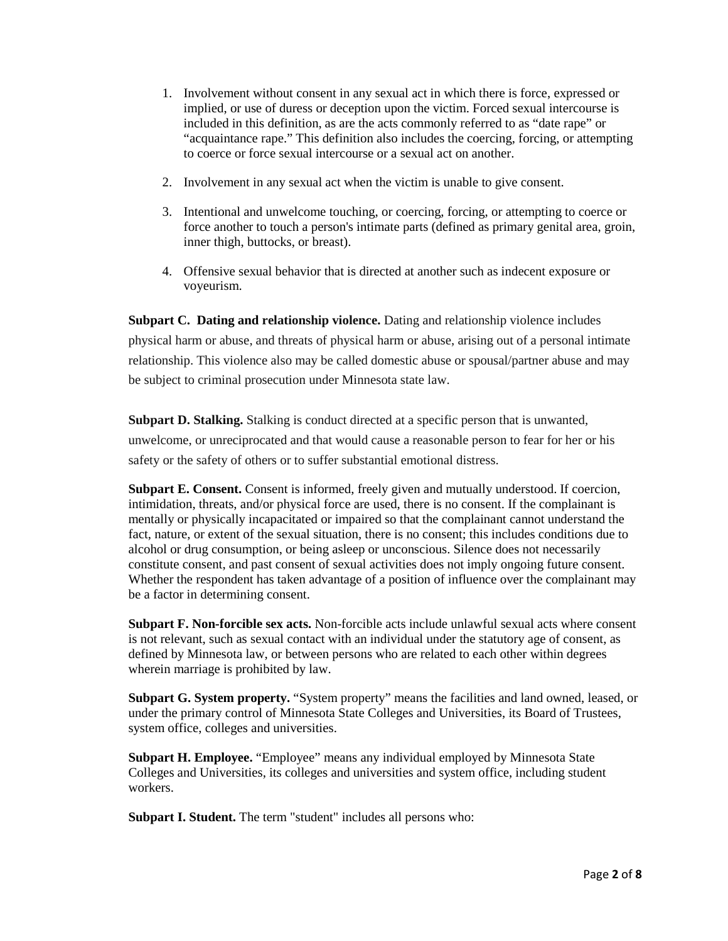- 1. Involvement without consent in any sexual act in which there is force, expressed or implied, or use of duress or deception upon the victim. Forced sexual intercourse is included in this definition, as are the acts commonly referred to as "date rape" or "acquaintance rape." This definition also includes the coercing, forcing, or attempting to coerce or force sexual intercourse or a sexual act on another.
- 2. Involvement in any sexual act when the victim is unable to give consent.
- 3. Intentional and unwelcome touching, or coercing, forcing, or attempting to coerce or force another to touch a person's intimate parts (defined as primary genital area, groin, inner thigh, buttocks, or breast).
- 4. Offensive sexual behavior that is directed at another such as indecent exposure or voyeurism.

**Subpart C. Dating and relationship violence.** Dating and relationship violence includes physical harm or abuse, and threats of physical harm or abuse, arising out of a personal intimate relationship. This violence also may be called domestic abuse or spousal/partner abuse and may be subject to criminal prosecution under Minnesota state law.

**Subpart D. Stalking.** Stalking is conduct directed at a specific person that is unwanted, unwelcome, or unreciprocated and that would cause a reasonable person to fear for her or his safety or the safety of others or to suffer substantial emotional distress.

**Subpart E. Consent.** Consent is informed, freely given and mutually understood. If coercion, intimidation, threats, and/or physical force are used, there is no consent. If the complainant is mentally or physically incapacitated or impaired so that the complainant cannot understand the fact, nature, or extent of the sexual situation, there is no consent; this includes conditions due to alcohol or drug consumption, or being asleep or unconscious. Silence does not necessarily constitute consent, and past consent of sexual activities does not imply ongoing future consent. Whether the respondent has taken advantage of a position of influence over the complainant may be a factor in determining consent.

**Subpart F. Non-forcible sex acts.** Non-forcible acts include unlawful sexual acts where consent is not relevant, such as sexual contact with an individual under the statutory age of consent, as defined by Minnesota law, or between persons who are related to each other within degrees wherein marriage is prohibited by law.

**Subpart G. System property.** "System property" means the facilities and land owned, leased, or under the primary control of Minnesota State Colleges and Universities, its Board of Trustees, system office, colleges and universities.

**Subpart H. Employee.** "Employee" means any individual employed by Minnesota State Colleges and Universities, its colleges and universities and system office, including student workers.

**Subpart I. Student.** The term "student" includes all persons who: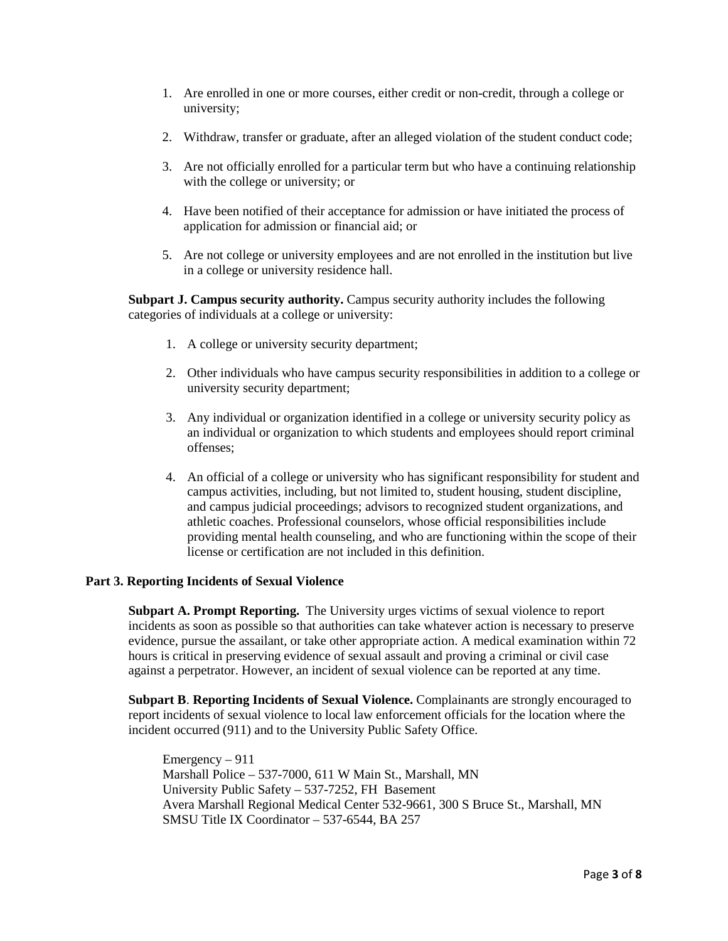- 1. Are enrolled in one or more courses, either credit or non-credit, through a college or university;
- 2. Withdraw, transfer or graduate, after an alleged violation of the student conduct code;
- 3. Are not officially enrolled for a particular term but who have a continuing relationship with the college or university; or
- 4. Have been notified of their acceptance for admission or have initiated the process of application for admission or financial aid; or
- 5. Are not college or university employees and are not enrolled in the institution but live in a college or university residence hall.

**Subpart J. Campus security authority.** Campus security authority includes the following categories of individuals at a college or university:

- 1. A college or university security department;
- 2. Other individuals who have campus security responsibilities in addition to a college or university security department;
- 3. Any individual or organization identified in a college or university security policy as an individual or organization to which students and employees should report criminal offenses;
- 4. An official of a college or university who has significant responsibility for student and campus activities, including, but not limited to, student housing, student discipline, and campus judicial proceedings; advisors to recognized student organizations, and athletic coaches. Professional counselors, whose official responsibilities include providing mental health counseling, and who are functioning within the scope of their license or certification are not included in this definition.

## **Part 3. Reporting Incidents of Sexual Violence**

**Subpart A. Prompt Reporting.** The University urges victims of sexual violence to report incidents as soon as possible so that authorities can take whatever action is necessary to preserve evidence, pursue the assailant, or take other appropriate action. A medical examination within 72 hours is critical in preserving evidence of sexual assault and proving a criminal or civil case against a perpetrator. However, an incident of sexual violence can be reported at any time.

**Subpart B**. **Reporting Incidents of Sexual Violence.** Complainants are strongly encouraged to report incidents of sexual violence to local law enforcement officials for the location where the incident occurred (911) and to the University Public Safety Office.

Emergency – 911 Marshall Police – 537-7000, 611 W Main St., Marshall, MN University Public Safety – 537-7252, FH Basement Avera Marshall Regional Medical Center 532-9661, 300 S Bruce St., Marshall, MN SMSU Title IX Coordinator – 537-6544, BA 257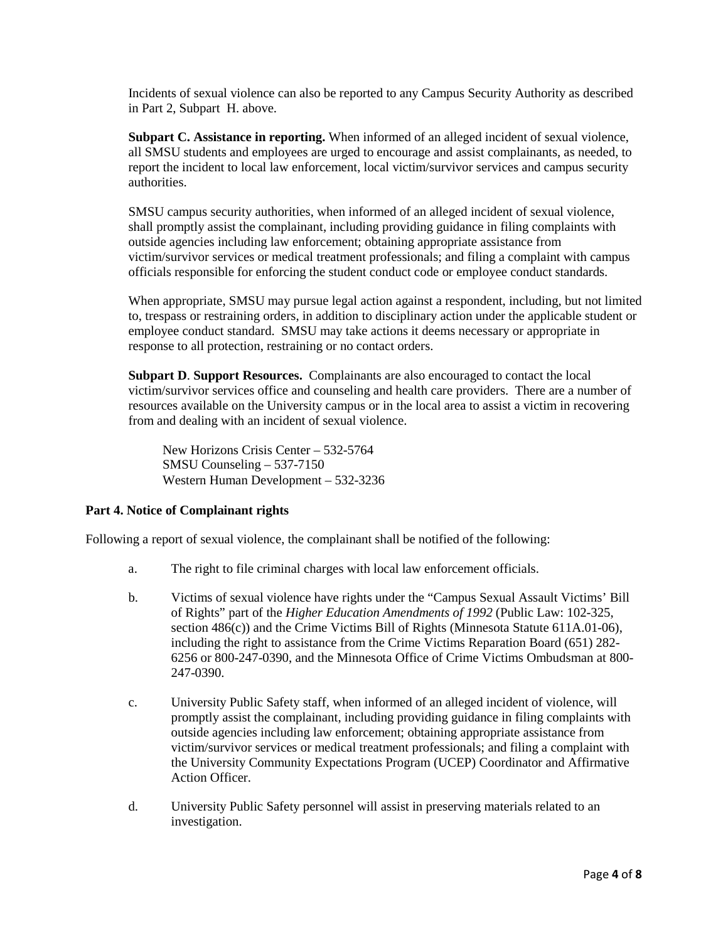Incidents of sexual violence can also be reported to any Campus Security Authority as described in Part 2, Subpart H. above.

**Subpart C. Assistance in reporting.** When informed of an alleged incident of sexual violence, all SMSU students and employees are urged to encourage and assist complainants, as needed, to report the incident to local law enforcement, local victim/survivor services and campus security authorities.

SMSU campus security authorities, when informed of an alleged incident of sexual violence, shall promptly assist the complainant, including providing guidance in filing complaints with outside agencies including law enforcement; obtaining appropriate assistance from victim/survivor services or medical treatment professionals; and filing a complaint with campus officials responsible for enforcing the student conduct code or employee conduct standards.

When appropriate, SMSU may pursue legal action against a respondent, including, but not limited to, trespass or restraining orders, in addition to disciplinary action under the applicable student or employee conduct standard. SMSU may take actions it deems necessary or appropriate in response to all protection, restraining or no contact orders.

**Subpart D**. **Support Resources.** Complainants are also encouraged to contact the local victim/survivor services office and counseling and health care providers. There are a number of resources available on the University campus or in the local area to assist a victim in recovering from and dealing with an incident of sexual violence.

New Horizons Crisis Center – 532-5764 SMSU Counseling – 537-7150 Western Human Development – 532-3236

## **Part 4. Notice of Complainant rights**

Following a report of sexual violence, the complainant shall be notified of the following:

- a. The right to file criminal charges with local law enforcement officials.
- b. Victims of sexual violence have rights under the "Campus Sexual Assault Victims' Bill of Rights" part of the *Higher Education Amendments of 1992* (Public Law: 102-325, section 486(c)) and the Crime Victims Bill of Rights (Minnesota Statute 611A.01-06), including the right to assistance from the Crime Victims Reparation Board (651) 282- 6256 or 800-247-0390, and the Minnesota Office of Crime Victims Ombudsman at 800- 247-0390.
- c. University Public Safety staff, when informed of an alleged incident of violence, will promptly assist the complainant, including providing guidance in filing complaints with outside agencies including law enforcement; obtaining appropriate assistance from victim/survivor services or medical treatment professionals; and filing a complaint with the University Community Expectations Program (UCEP) Coordinator and Affirmative Action Officer.
- d. University Public Safety personnel will assist in preserving materials related to an investigation.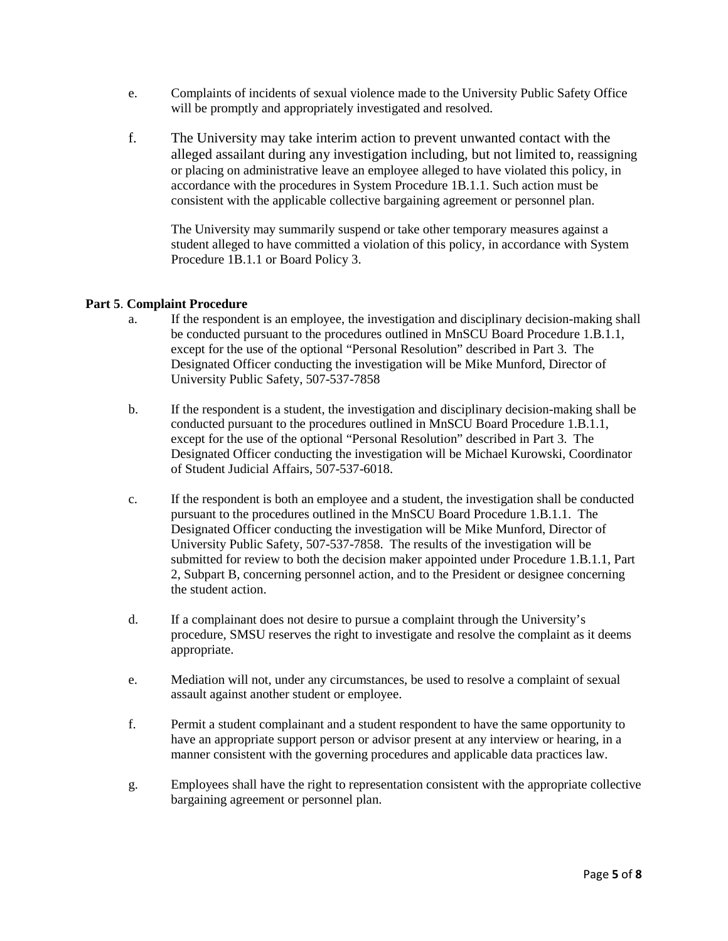- e. Complaints of incidents of sexual violence made to the University Public Safety Office will be promptly and appropriately investigated and resolved.
- f. The University may take interim action to prevent unwanted contact with the alleged assailant during any investigation including, but not limited to, reassigning or placing on administrative leave an employee alleged to have violated this policy, in accordance with the procedures in System Procedure 1B.1.1. Such action must be consistent with the applicable collective bargaining agreement or personnel plan.

The University may summarily suspend or take other temporary measures against a student alleged to have committed a violation of this policy, in accordance with System Procedure 1B.1.1 or Board Policy 3.

## **Part 5**. **Complaint Procedure**

- a. If the respondent is an employee, the investigation and disciplinary decision-making shall be conducted pursuant to the procedures outlined in MnSCU Board Procedure 1.B.1.1, except for the use of the optional "Personal Resolution" described in Part 3. The Designated Officer conducting the investigation will be Mike Munford, Director of University Public Safety, 507-537-7858
- b. If the respondent is a student, the investigation and disciplinary decision-making shall be conducted pursuant to the procedures outlined in MnSCU Board Procedure 1.B.1.1, except for the use of the optional "Personal Resolution" described in Part 3. The Designated Officer conducting the investigation will be Michael Kurowski, Coordinator of Student Judicial Affairs, 507-537-6018.
- c. If the respondent is both an employee and a student, the investigation shall be conducted pursuant to the procedures outlined in the MnSCU Board Procedure 1.B.1.1. The Designated Officer conducting the investigation will be Mike Munford, Director of University Public Safety, 507-537-7858. The results of the investigation will be submitted for review to both the decision maker appointed under Procedure 1.B.1.1, Part 2, Subpart B, concerning personnel action, and to the President or designee concerning the student action.
- d. If a complainant does not desire to pursue a complaint through the University's procedure, SMSU reserves the right to investigate and resolve the complaint as it deems appropriate.
- e. Mediation will not, under any circumstances, be used to resolve a complaint of sexual assault against another student or employee.
- f. Permit a student complainant and a student respondent to have the same opportunity to have an appropriate support person or advisor present at any interview or hearing, in a manner consistent with the governing procedures and applicable data practices law.
- g. Employees shall have the right to representation consistent with the appropriate collective bargaining agreement or personnel plan.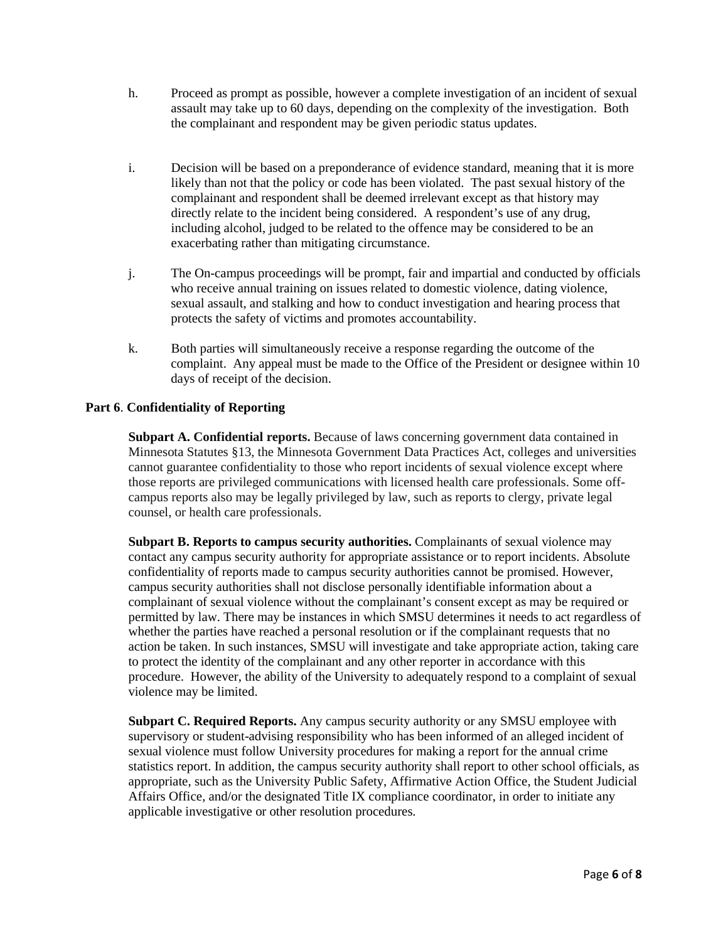- h. Proceed as prompt as possible, however a complete investigation of an incident of sexual assault may take up to 60 days, depending on the complexity of the investigation. Both the complainant and respondent may be given periodic status updates.
- i. Decision will be based on a preponderance of evidence standard, meaning that it is more likely than not that the policy or code has been violated. The past sexual history of the complainant and respondent shall be deemed irrelevant except as that history may directly relate to the incident being considered. A respondent's use of any drug, including alcohol, judged to be related to the offence may be considered to be an exacerbating rather than mitigating circumstance.
- j. The On-campus proceedings will be prompt, fair and impartial and conducted by officials who receive annual training on issues related to domestic violence, dating violence, sexual assault, and stalking and how to conduct investigation and hearing process that protects the safety of victims and promotes accountability.
- k. Both parties will simultaneously receive a response regarding the outcome of the complaint. Any appeal must be made to the Office of the President or designee within 10 days of receipt of the decision.

# **Part 6**. **Confidentiality of Reporting**

**Subpart A. Confidential reports.** Because of laws concerning government data contained in Minnesota Statutes §13, the Minnesota Government Data Practices Act, colleges and universities cannot guarantee confidentiality to those who report incidents of sexual violence except where those reports are privileged communications with licensed health care professionals. Some offcampus reports also may be legally privileged by law, such as reports to clergy, private legal counsel, or health care professionals.

**Subpart B. Reports to campus security authorities.** Complainants of sexual violence may contact any campus security authority for appropriate assistance or to report incidents. Absolute confidentiality of reports made to campus security authorities cannot be promised. However, campus security authorities shall not disclose personally identifiable information about a complainant of sexual violence without the complainant's consent except as may be required or permitted by law. There may be instances in which SMSU determines it needs to act regardless of whether the parties have reached a personal resolution or if the complainant requests that no action be taken. In such instances, SMSU will investigate and take appropriate action, taking care to protect the identity of the complainant and any other reporter in accordance with this procedure. However, the ability of the University to adequately respond to a complaint of sexual violence may be limited.

**Subpart C. Required Reports.** Any campus security authority or any SMSU employee with supervisory or student-advising responsibility who has been informed of an alleged incident of sexual violence must follow University procedures for making a report for the annual crime statistics report. In addition, the campus security authority shall report to other school officials, as appropriate, such as the University Public Safety, Affirmative Action Office, the Student Judicial Affairs Office, and/or the designated Title IX compliance coordinator, in order to initiate any applicable investigative or other resolution procedures.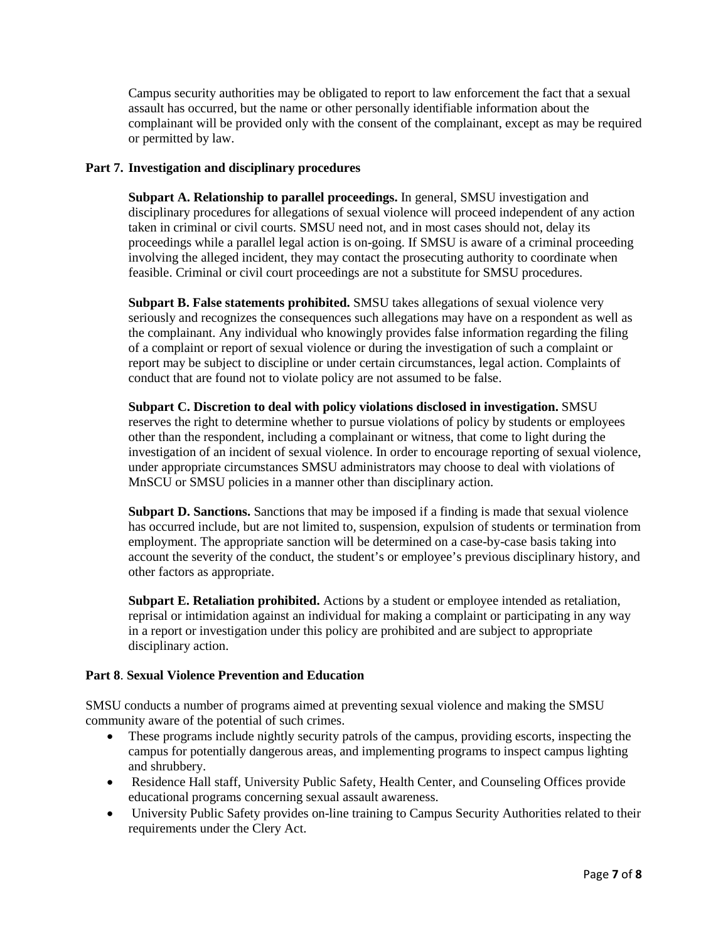Campus security authorities may be obligated to report to law enforcement the fact that a sexual assault has occurred, but the name or other personally identifiable information about the complainant will be provided only with the consent of the complainant, except as may be required or permitted by law.

## **Part 7. Investigation and disciplinary procedures**

**Subpart A. Relationship to parallel proceedings.** In general, SMSU investigation and disciplinary procedures for allegations of sexual violence will proceed independent of any action taken in criminal or civil courts. SMSU need not, and in most cases should not, delay its proceedings while a parallel legal action is on-going. If SMSU is aware of a criminal proceeding involving the alleged incident, they may contact the prosecuting authority to coordinate when feasible. Criminal or civil court proceedings are not a substitute for SMSU procedures.

**Subpart B. False statements prohibited.** SMSU takes allegations of sexual violence very seriously and recognizes the consequences such allegations may have on a respondent as well as the complainant. Any individual who knowingly provides false information regarding the filing of a complaint or report of sexual violence or during the investigation of such a complaint or report may be subject to discipline or under certain circumstances, legal action. Complaints of conduct that are found not to violate policy are not assumed to be false.

**Subpart C. Discretion to deal with policy violations disclosed in investigation.** SMSU reserves the right to determine whether to pursue violations of policy by students or employees other than the respondent, including a complainant or witness, that come to light during the investigation of an incident of sexual violence. In order to encourage reporting of sexual violence, under appropriate circumstances SMSU administrators may choose to deal with violations of MnSCU or SMSU policies in a manner other than disciplinary action.

**Subpart D. Sanctions.** Sanctions that may be imposed if a finding is made that sexual violence has occurred include, but are not limited to, suspension, expulsion of students or termination from employment. The appropriate sanction will be determined on a case-by-case basis taking into account the severity of the conduct, the student's or employee's previous disciplinary history, and other factors as appropriate.

**Subpart E. Retaliation prohibited.** Actions by a student or employee intended as retaliation, reprisal or intimidation against an individual for making a complaint or participating in any way in a report or investigation under this policy are prohibited and are subject to appropriate disciplinary action.

## **Part 8**. **Sexual Violence Prevention and Education**

SMSU conducts a number of programs aimed at preventing sexual violence and making the SMSU community aware of the potential of such crimes.

- These programs include nightly security patrols of the campus, providing escorts, inspecting the campus for potentially dangerous areas, and implementing programs to inspect campus lighting and shrubbery.
- Residence Hall staff, University Public Safety, Health Center, and Counseling Offices provide educational programs concerning sexual assault awareness.
- University Public Safety provides on-line training to Campus Security Authorities related to their requirements under the Clery Act.